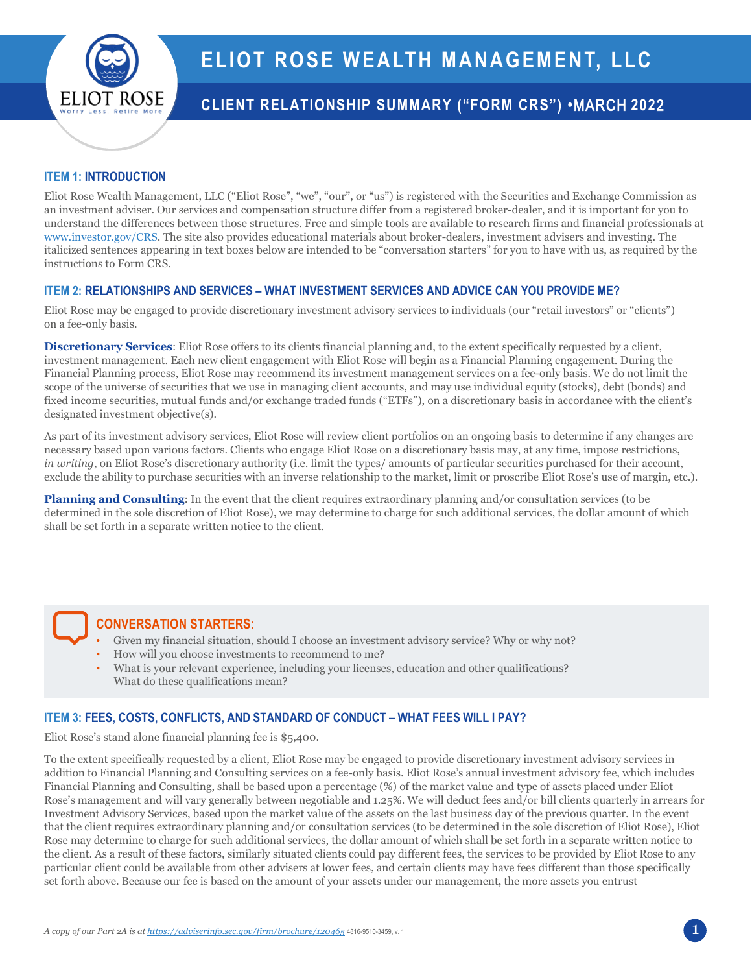

# **CLIENT RELATIONSHIP SUMMARY ("FORM CRS") •**MARCH **202**2

#### **ITEM 1: INTRODUCTION**

Eliot Rose Wealth Management, LLC ("Eliot Rose", "we", "our", or "us") is registered with the Securities and Exchange Commission as an investment adviser. Our services and compensation structure differ from a registered broker-dealer, and it is important for you to understand the differences between those structures. Free and simple tools are available to research firms and financial professionals at [www.investor.gov/CRS.](http://www.investor.gov/CRS) The site also provides educational materials about broker-dealers, investment advisers and investing. The italicized sentences appearing in text boxes below are intended to be "conversation starters" for you to have with us, as required by the instructions to Form CRS.

#### **ITEM 2: RELATIONSHIPS AND SERVICES – WHAT INVESTMENT SERVICES AND ADVICE CAN YOU PROVIDE ME?**

Eliot Rose may be engaged to provide discretionary investment advisory services to individuals (our "retail investors" or "clients") on a fee-only basis.

**Discretionary Services**: Eliot Rose offers to its clients financial planning and, to the extent specifically requested by a client, investment management. Each new client engagement with Eliot Rose will begin as a Financial Planning engagement. During the Financial Planning process, Eliot Rose may recommend its investment management services on a fee-only basis. We do not limit the scope of the universe of securities that we use in managing client accounts, and may use individual equity (stocks), debt (bonds) and fixed income securities, mutual funds and/or exchange traded funds ("ETFs"), on a discretionary basis in accordance with the client's designated investment objective(s).

As part of its investment advisory services, Eliot Rose will review client portfolios on an ongoing basis to determine if any changes are necessary based upon various factors. Clients who engage Eliot Rose on a discretionary basis may, at any time, impose restrictions, *in writing*, on Eliot Rose's discretionary authority (i.e. limit the types/ amounts of particular securities purchased for their account, exclude the ability to purchase securities with an inverse relationship to the market, limit or proscribe Eliot Rose's use of margin, etc.).

**Planning and Consulting**: In the event that the client requires extraordinary planning and/or consultation services (to be determined in the sole discretion of Eliot Rose), we may determine to charge for such additional services, the dollar amount of which shall be set forth in a separate written notice to the client.

## **CONVERSATION STARTERS:**

- Given my financial situation, should I choose an investment advisory service? Why or why not?
- How will you choose investments to recommend to me?
- What is your relevant experience, including your licenses, education and other qualifications? What do these qualifications mean?

## **ITEM 3: FEES, COSTS, CONFLICTS, AND STANDARD OF CONDUCT – WHAT FEES WILL I PAY?**

Eliot Rose's stand alone financial planning fee is \$5,400.

To the extent specifically requested by a client, Eliot Rose may be engaged to provide discretionary investment advisory services in addition to Financial Planning and Consulting services on a fee-only basis. Eliot Rose's annual investment advisory fee, which includes Financial Planning and Consulting, shall be based upon a percentage (%) of the market value and type of assets placed under Eliot Rose's management and will vary generally between negotiable and 1.25%. We will deduct fees and/or bill clients quarterly in arrears for Investment Advisory Services, based upon the market value of the assets on the last business day of the previous quarter. In the event that the client requires extraordinary planning and/or consultation services (to be determined in the sole discretion of Eliot Rose), Eliot Rose may determine to charge for such additional services, the dollar amount of which shall be set forth in a separate written notice to the client. As a result of these factors, similarly situated clients could pay different fees, the services to be provided by Eliot Rose to any particular client could be available from other advisers at lower fees, and certain clients may have fees different than those specifically set forth above. Because our fee is based on the amount of your assets under our management, the more assets you entrust